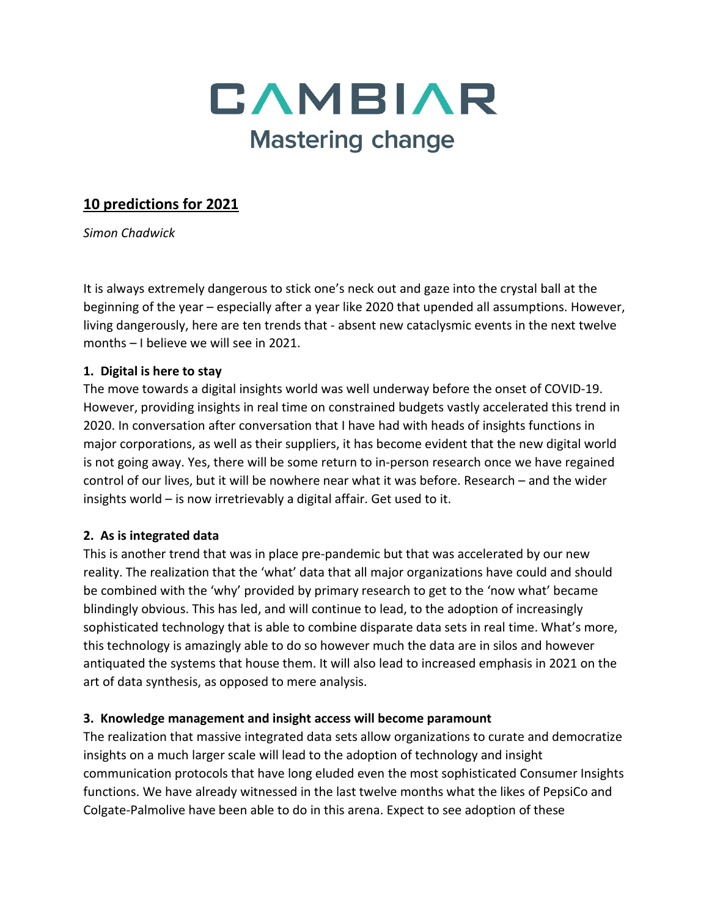

# **10 predictions for 2021**

*Simon Chadwick*

It is always extremely dangerous to stick one's neck out and gaze into the crystal ball at the beginning of the year – especially after a year like 2020 that upended all assumptions. However, living dangerously, here are ten trends that - absent new cataclysmic events in the next twelve months – I believe we will see in 2021.

#### **1. Digital is here to stay**

The move towards a digital insights world was well underway before the onset of COVID-19. However, providing insights in real time on constrained budgets vastly accelerated this trend in 2020. In conversation after conversation that I have had with heads of insights functions in major corporations, as well as their suppliers, it has become evident that the new digital world is not going away. Yes, there will be some return to in-person research once we have regained control of our lives, but it will be nowhere near what it was before. Research – and the wider insights world – is now irretrievably a digital affair. Get used to it.

### **2. As is integrated data**

This is another trend that was in place pre-pandemic but that was accelerated by our new reality. The realization that the 'what' data that all major organizations have could and should be combined with the 'why' provided by primary research to get to the 'now what' became blindingly obvious. This has led, and will continue to lead, to the adoption of increasingly sophisticated technology that is able to combine disparate data sets in real time. What's more, this technology is amazingly able to do so however much the data are in silos and however antiquated the systems that house them. It will also lead to increased emphasis in 2021 on the art of data synthesis, as opposed to mere analysis.

### **3. Knowledge management and insight access will become paramount**

The realization that massive integrated data sets allow organizations to curate and democratize insights on a much larger scale will lead to the adoption of technology and insight communication protocols that have long eluded even the most sophisticated Consumer Insights functions. We have already witnessed in the last twelve months what the likes of PepsiCo and Colgate-Palmolive have been able to do in this arena. Expect to see adoption of these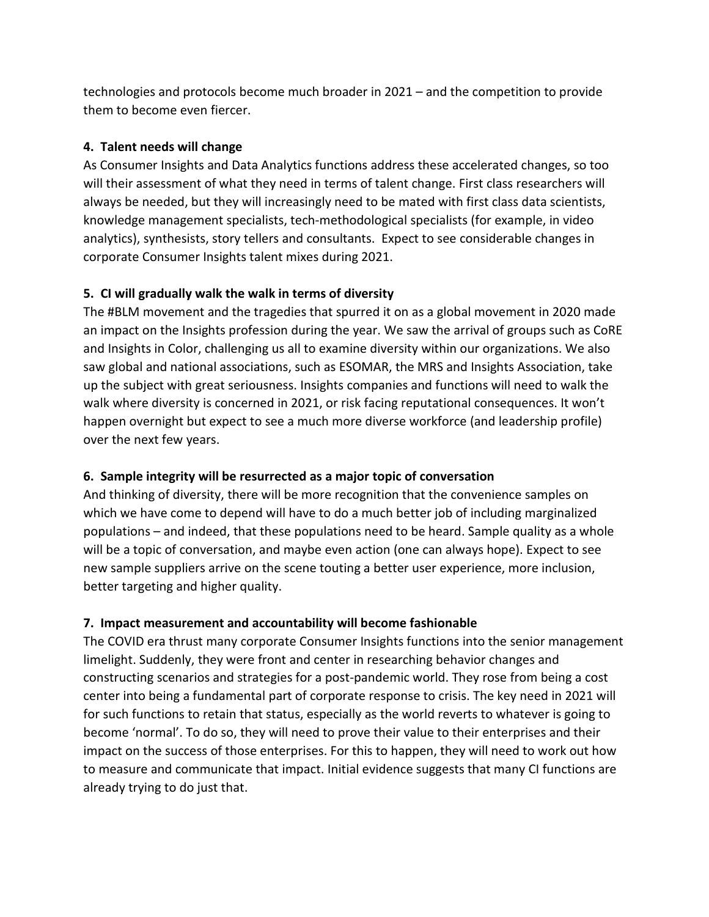technologies and protocols become much broader in 2021 – and the competition to provide them to become even fiercer.

## **4. Talent needs will change**

As Consumer Insights and Data Analytics functions address these accelerated changes, so too will their assessment of what they need in terms of talent change. First class researchers will always be needed, but they will increasingly need to be mated with first class data scientists, knowledge management specialists, tech-methodological specialists (for example, in video analytics), synthesists, story tellers and consultants. Expect to see considerable changes in corporate Consumer Insights talent mixes during 2021.

# **5. CI will gradually walk the walk in terms of diversity**

The #BLM movement and the tragedies that spurred it on as a global movement in 2020 made an impact on the Insights profession during the year. We saw the arrival of groups such as CoRE and Insights in Color, challenging us all to examine diversity within our organizations. We also saw global and national associations, such as ESOMAR, the MRS and Insights Association, take up the subject with great seriousness. Insights companies and functions will need to walk the walk where diversity is concerned in 2021, or risk facing reputational consequences. It won't happen overnight but expect to see a much more diverse workforce (and leadership profile) over the next few years.

# **6. Sample integrity will be resurrected as a major topic of conversation**

And thinking of diversity, there will be more recognition that the convenience samples on which we have come to depend will have to do a much better job of including marginalized populations – and indeed, that these populations need to be heard. Sample quality as a whole will be a topic of conversation, and maybe even action (one can always hope). Expect to see new sample suppliers arrive on the scene touting a better user experience, more inclusion, better targeting and higher quality.

### **7. Impact measurement and accountability will become fashionable**

The COVID era thrust many corporate Consumer Insights functions into the senior management limelight. Suddenly, they were front and center in researching behavior changes and constructing scenarios and strategies for a post-pandemic world. They rose from being a cost center into being a fundamental part of corporate response to crisis. The key need in 2021 will for such functions to retain that status, especially as the world reverts to whatever is going to become 'normal'. To do so, they will need to prove their value to their enterprises and their impact on the success of those enterprises. For this to happen, they will need to work out how to measure and communicate that impact. Initial evidence suggests that many CI functions are already trying to do just that.